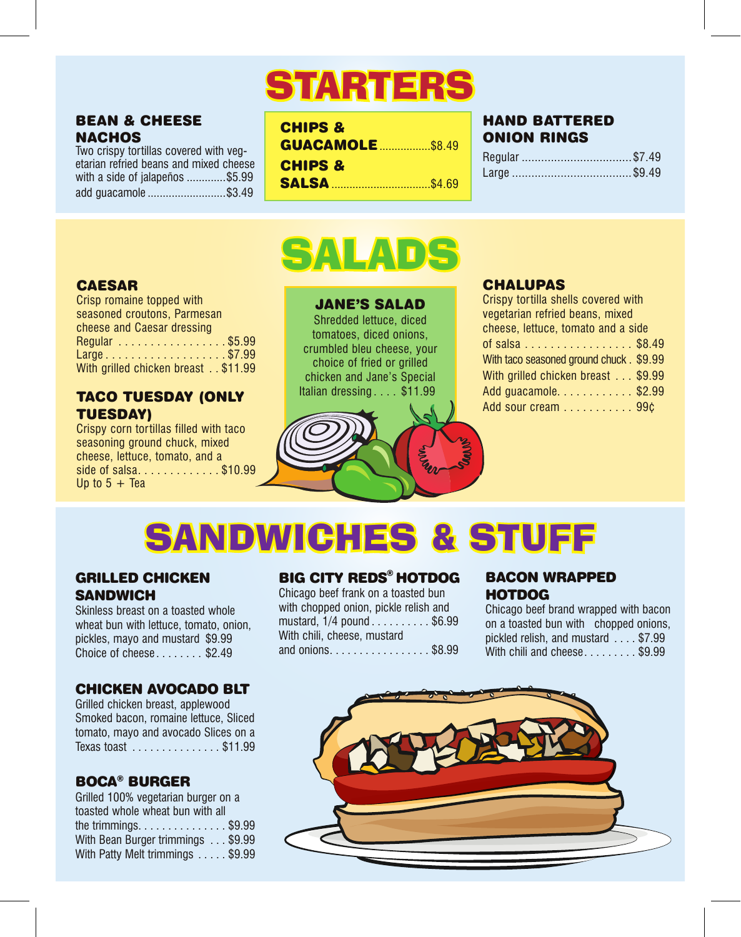# STARTERS

## BEAN & CHEESE **NACHOS**

Two crispy tortillas covered with vegetarian refried beans and mixed cheese with a side of jalapeños .............\$5.99 add guacamole ..........................\$3.49

| <b>CHIPS &amp;</b>      |  |
|-------------------------|--|
| <b>GUACAMOLE \$8.49</b> |  |
| <b>CHIPS &amp;</b>      |  |
|                         |  |
|                         |  |

## HAND BATTERED ONION RINGS

| Regular \$7.49 |  |
|----------------|--|
|                |  |

## CAESAR

| Crisp romaine topped with           |
|-------------------------------------|
| seasoned croutons, Parmesan         |
| cheese and Caesar dressing          |
| Regular \$5.99                      |
| Large\$7.99                         |
| With grilled chicken breast \$11.99 |

## TACO TUESDAY (ONLY TUESDAY)

Crispy corn tortillas filled with taco seasoning ground chuck, mixed cheese, lettuce, tomato, and a side of salsa.............\$10.99 Up to  $5 +$ Tea

## JANE'S SALAD

SALADS

Shredded lettuce, diced tomatoes, diced onions, crumbled bleu cheese, your choice of fried or grilled chicken and Jane's Special Italian dressing . . . . \$11.99

## CHALUPAS

| Crispy tortilla shells covered with      |
|------------------------------------------|
| vegetarian refried beans, mixed          |
| cheese, lettuce, tomato and a side       |
| of salsa $\ldots$ \$8.49                 |
| With taco seasoned ground chuck . \$9.99 |
| With grilled chicken breast \$9.99       |
| Add guacamole. \$2.99                    |
| Add sour cream 99¢                       |

# SANDWICHES & STUFF

### GRILLED CHICKEN **SANDWICH**

Skinless breast on a toasted whole wheat bun with lettuce, tomato, onion, pickles, mayo and mustard \$9.99 Choice of cheese . . .... . . \$2.49

## CHICKEN AVOCADO BLT

Grilled chicken breast, applewood Smoked bacon, romaine lettuce, Sliced tomato, mayo and avocado Slices on a Texas toast . . .... . . . .... . . \$11.99

## BOCA® BURGER

Grilled 100% vegetarian burger on a toasted whole wheat bun with all the trimmings... . . . .... . . . . . \$9.99 With Bean Burger trimmings . . . \$9.99 With Patty Melt trimmings ..... \$9.99

## BIG CITY REDS® HOTDOG

Chicago beef frank on a toasted bun with chopped onion, pickle relish and mustard, 1/4 pound . . . . . . . . . \$6.99 With chili, cheese, mustard and onions. . . . . . . . . . . . . . . . . \$8.99

## BACON WRAPPED HOTDOG

Chicago beef brand wrapped with bacon on a toasted bun with chopped onions, pickled relish, and mustard  $\sim$  \$7. With chili and cheese.  $\epsilon$ ...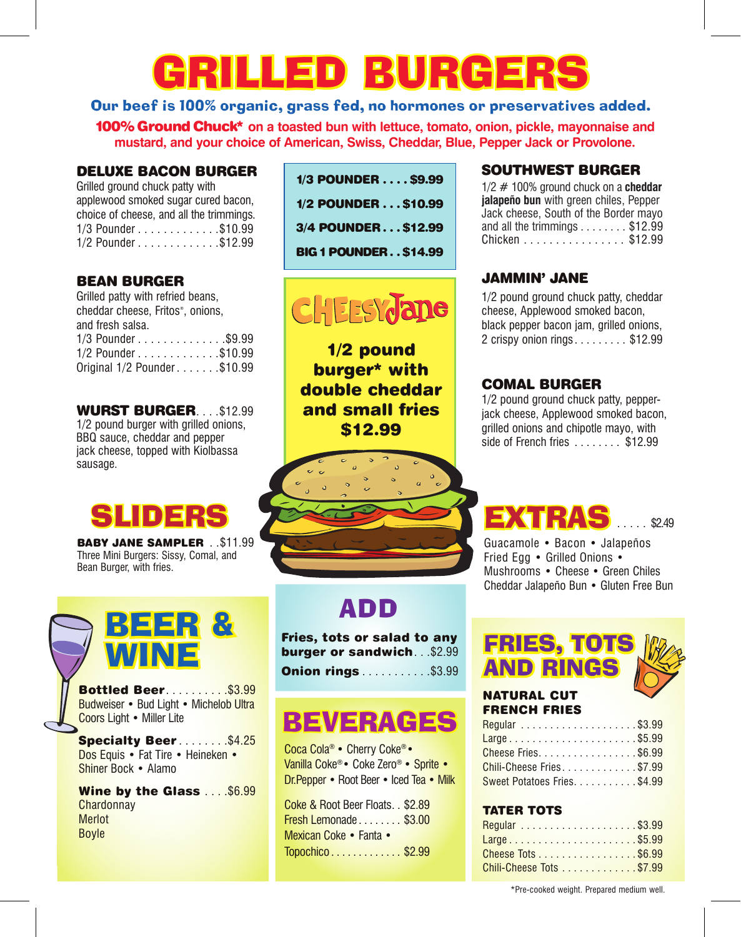# GRILLED BURGER

## Our beef is 100% organic, grass fed, no hormones or preservatives added.

100%Ground Chuck\* **on a toasted bun with lettuce, tomato, onion, pickle, mayonnaise and mustard, and your choice of American, Swiss, Cheddar, Blue, Pepper Jack or Provolone.**

## DELUXE BACON BURGER

Grilled ground chuck patty with applewood smoked sugar cured bacon, choice of cheese, and all the trimmings. 1/3 Pounder . . . . . . . . . . . . . \$10.99 1/2 Pounder . . . . . . . . . . . . \$12.99

## BEAN BURGER

| Grilled patty with refried beans, |
|-----------------------------------|
| cheddar cheese, Fritos®, onions,  |
| and fresh salsa.                  |
| 1/3 Pounder\$9.99                 |
| 1/2 Pounder\$10.99                |
| Original 1/2 Pounder\$10.99       |

WURST BURGER. . . . \$12.99 1/2 pound burger with grilled onions, BBQ sauce, cheddar and pepper jack cheese, topped with Kiolbassa sausage.

BABY JANE SAMPLER . .\$11.99 Three Mini Burgers: Sissy, Comal, and Bean Burger, with fries.



**Bottled Beer............\$3.99** Budweiser • Bud Light • Michelob Ultra Coors Light • Miller Lite

Specialty Beer.........\$4.25 Dos Equis • Fat Tire • Heineken • Shiner Bock • Alamo

Wine by the Glass . . . . \$6.99 **Chardonnay** Merlot Boyle

| 1/3 POUNDER \$9.99          |  |
|-----------------------------|--|
| 1/2 POUNDER \$10.99         |  |
| 3/4 POUNDER\$12.99          |  |
| <b>BIG 1 POUNDER\$14.99</b> |  |

# **CHEESY ane**

1/2 pound burger\* with double cheddar and small fries \$12.99

## ADD

Fries, tots or salad to any burger or sandwich...\$2.99

**Onion rings . . . . . . . . . . . \$3.99** 

## **BEVERAGES**

Coca Cola® • Cherry Coke®• Vanilla Coke®• Coke Zero® • Sprite • Dr.Pepper • Root Beer • Iced Tea • Milk

Coke & Root Beer Floats. . \$2.89 **Fresh Lemonade . . . . . . . . \$3.00** Mexican Coke • Fanta • Topochico . . . . ... . . . . . . \$2.99

## SOUTHWEST BURGER

| $1/2 \# 100\%$ ground chuck on a cheddar        |
|-------------------------------------------------|
| jalapeño bun with green chiles, Pepper          |
| Jack cheese, South of the Border mayo           |
| and all the trimmings $\ldots \ldots$ , \$12.99 |
| Chicken \$12.99                                 |
|                                                 |

## JAMMIN' JANE

1/2 pound ground chuck patty, cheddar cheese, Applewood smoked bacon, black pepper bacon jam, grilled onions, 2 crispy onion rings . . . . ... . . \$12.99

## COMAL BURGER

1/2 pound ground chuck patty, pepperjack cheese, Applewood smoked bacon, grilled onions and chipotle mayo, with side of French fries . . . . . . . \$12.99

## **EXTRAS** .... \$249

Guacamole • Bacon • Jalapeños Fried Egg • Grilled Onions • Mushrooms • Cheese • Green Chiles Cheddar Jalapeño Bun • Gluten Free Bun

# AND RINGS



### NATURAL CUT FRENCH FRIES

| Large\$5.99                  |  |
|------------------------------|--|
| Cheese Fries. \$6.99         |  |
| Chili-Cheese Fries\$7.99     |  |
| Sweet Potatoes Fries. \$4.99 |  |

## TATER TOTS

| Large\$5.99              |  |
|--------------------------|--|
| Cheese Tots \$6.99       |  |
| Chili-Cheese Tots \$7.99 |  |

\*Pre-cooked weight. Prepared medium well.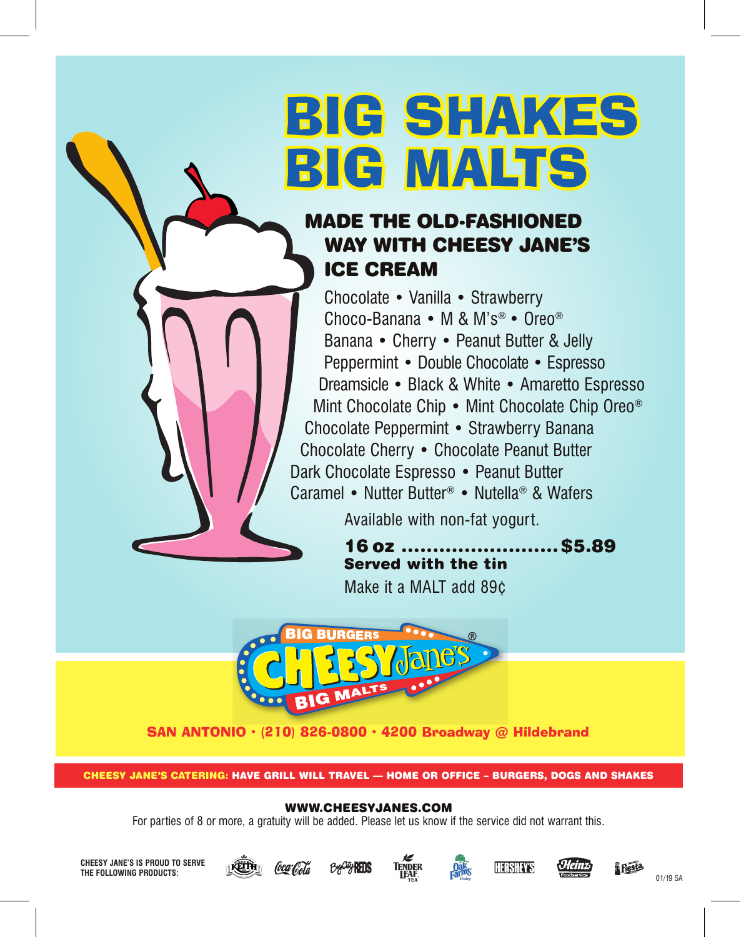# BIG SHAKES BIG MALTS

## MADE THE OLD-FASHIONED WAY WITH CHEESY JANE'S ICE CREAM

Chocolate • Vanilla • Strawberry Choco-Banana • M & M's® • Oreo® Banana • Cherry • Peanut Butter & Jelly Peppermint • Double Chocolate • Espresso Dreamsicle • Black & White **•** Amaretto Espresso Mint Chocolate Chip • Mint Chocolate Chip Oreo® Chocolate Peppermint • Strawberry Banana Chocolate Cherry • Chocolate Peanut Butter Dark Chocolate Espresso • Peanut Butter Caramel • Nutter Butter® • Nutella® & Wafers

Available with non-fat yogurt.

16 oz .........................\$5.89 Served with the tin Make it a MALT add 89¢



SAN ANTONIO · (210) 826-0800 · 4200 Broadway @ Hildebrand

CHEESY JANE'S CATERING: HAVE GRILL WILL TRAVEL — HOME OR OFFICE – BURGERS, DOGS AND SHAKES

## WWW.CHEESYJANES.COM

For parties of 8 or more, a gratuity will be added. Please let us know if the service did not warrant this.

**CHEESY JANE'S IS PROUD TO SERVE THE FOLLOWING PRODUCTS:**













01/19 SA